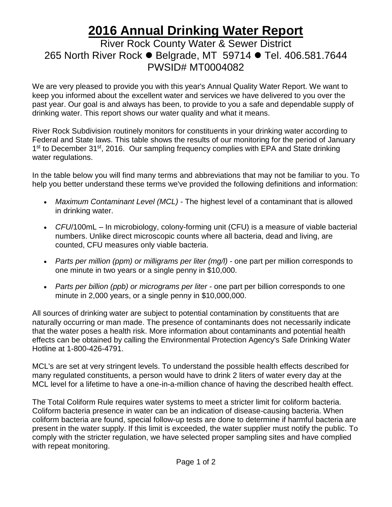## **2016 Annual Drinking Water Report**

## River Rock County Water & Sewer District 265 North River Rock ● Belgrade, MT 59714 ● Tel. 406.581.7644 PWSID# MT0004082

We are very pleased to provide you with this year's Annual Quality Water Report. We want to keep you informed about the excellent water and services we have delivered to you over the past year. Our goal is and always has been, to provide to you a safe and dependable supply of drinking water. This report shows our water quality and what it means.

River Rock Subdivision routinely monitors for constituents in your drinking water according to Federal and State laws. This table shows the results of our monitoring for the period of January 1<sup>st</sup> to December 31<sup>st</sup>, 2016. Our sampling frequency complies with EPA and State drinking water regulations.

In the table below you will find many terms and abbreviations that may not be familiar to you. To help you better understand these terms we've provided the following definitions and information:

- *Maximum Contaminant Level (MCL) -* The highest level of a contaminant that is allowed in drinking water.
- *CFU*/100mL In microbiology, colony-forming unit (CFU) is a measure of viable bacterial numbers. Unlike direct microscopic counts where all bacteria, dead and living, are counted, CFU measures only viable bacteria.
- *Parts per million (ppm) or milligrams per liter (mg/l)* one part per million corresponds to one minute in two years or a single penny in \$10,000.
- *Parts per billion (ppb) or micrograms per liter* one part per billion corresponds to one minute in 2,000 years, or a single penny in \$10,000,000.

All sources of drinking water are subject to potential contamination by constituents that are naturally occurring or man made. The presence of contaminants does not necessarily indicate that the water poses a health risk. More information about contaminants and potential health effects can be obtained by calling the Environmental Protection Agency's Safe Drinking Water Hotline at 1-800-426-4791.

MCL's are set at very stringent levels. To understand the possible health effects described for many regulated constituents, a person would have to drink 2 liters of water every day at the MCL level for a lifetime to have a one-in-a-million chance of having the described health effect.

The Total Coliform Rule requires water systems to meet a stricter limit for coliform bacteria. Coliform bacteria presence in water can be an indication of disease-causing bacteria. When coliform bacteria are found, special follow-up tests are done to determine if harmful bacteria are present in the water supply. If this limit is exceeded, the water supplier must notify the public. To comply with the stricter regulation, we have selected proper sampling sites and have complied with repeat monitoring.